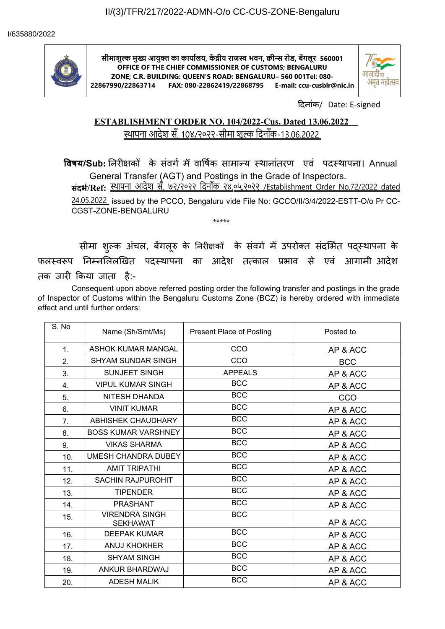

**सीमाशुल्क मुख्य आयुक्त्त का कार्यालय, कें द्रीय राजस्व भवन, क्वीन्स रोड, बेंगलूर 560001 OFFICE OF THE CHIEF COMMISSIONER OF CUSTOMS; BENGALURU ZONE; C.R. BUILDING: QUEEN'S ROAD: BENGALURU– 560 001Tel: 080- 22867990/22863714 FAX: 080-22862419/22868795 E-mail: ccu-cusblr@nic.in**



दिनांक/ Date: E-signed

## **ESTABLISHMENT ORDER NO. 104/2022-Cus. Dated 13.06.2022**  स्थापना आदेश सँ. 10४/२०२२-सीमा शुल्क दिनाँक-13.06.2022

**विषय/Sub:** निरीक्षकों के संवर्ग में वार्षिक सामान्य स्थानांतरण एवं पदस्थापना। Annual General Transfer (AGT) and Postings in the Grade of Inspectors.

**संदर्भ/Ref:** स्थापना आदेश सँ. ७२/२०२२ दिनाँक २४.०५.२०२२ /Establishment Order No.72/2022 dated

24.05.2022 issued by the PCCO, Bengaluru vide File No: GCCO/II/3/4/2022-ESTT-O/o Pr CC-CGST-ZONE-BENGALURU

सीमा शुल्क अचल, बेगलूरु के निरीक्षकों के सवगे में उपरोक्त संदर्भित पद्स्थापना के फलस्वरूप निम्नलिलखित पदस्थापना का आदेश तत्काल प्रभाव से एव आगामीं आदेश तक जारी किया जाता है:-

\*\*\*\*\*

Consequent upon above referred posting order the following transfer and postings in the grade of Inspector of Customs within the Bengaluru Customs Zone (BCZ) is hereby ordered with immediate effect and until further orders:

| S. No | Name (Sh/Smt/Ms)                         | <b>Present Place of Posting</b> | Posted to  |
|-------|------------------------------------------|---------------------------------|------------|
| 1.    | <b>ASHOK KUMAR MANGAL</b>                | CCO                             | AP & ACC   |
| 2.    | <b>SHYAM SUNDAR SINGH</b>                | CCO                             | <b>BCC</b> |
| 3.    | <b>SUNJEET SINGH</b>                     | <b>APPEALS</b>                  | AP & ACC   |
| 4.    | <b>VIPUL KUMAR SINGH</b>                 | <b>BCC</b>                      | AP & ACC   |
| 5.    | NITESH DHANDA                            | <b>BCC</b>                      | CCO        |
| 6.    | <b>VINIT KUMAR</b>                       | <b>BCC</b>                      | AP & ACC   |
| 7.    | <b>ABHISHEK CHAUDHARY</b>                | <b>BCC</b>                      | AP & ACC   |
| 8.    | <b>BOSS KUMAR VARSHNEY</b>               | <b>BCC</b>                      | AP & ACC   |
| 9.    | <b>VIKAS SHARMA</b>                      | <b>BCC</b>                      | AP & ACC   |
| 10.   | <b>UMESH CHANDRA DUBEY</b>               | <b>BCC</b>                      | AP & ACC   |
| 11.   | <b>AMIT TRIPATHI</b>                     | <b>BCC</b>                      | AP & ACC   |
| 12.   | <b>SACHIN RAJPUROHIT</b>                 | <b>BCC</b>                      | AP & ACC   |
| 13.   | <b>TIPENDER</b>                          | <b>BCC</b>                      | AP & ACC   |
| 14.   | <b>PRASHANT</b>                          | <b>BCC</b>                      | AP & ACC   |
| 15.   | <b>VIRENDRA SINGH</b><br><b>SEKHAWAT</b> | <b>BCC</b>                      | AP & ACC   |
| 16.   | <b>DEEPAK KUMAR</b>                      | <b>BCC</b>                      | AP & ACC   |
| 17.   | ANUJ KHOKHER                             | <b>BCC</b>                      | AP & ACC   |
| 18.   | <b>SHYAM SINGH</b>                       | <b>BCC</b>                      | AP & ACC   |
| 19.   | ANKUR BHARDWAJ                           | <b>BCC</b>                      | AP & ACC   |
| 20.   | <b>ADESH MALIK</b>                       | <b>BCC</b>                      | AP & ACC   |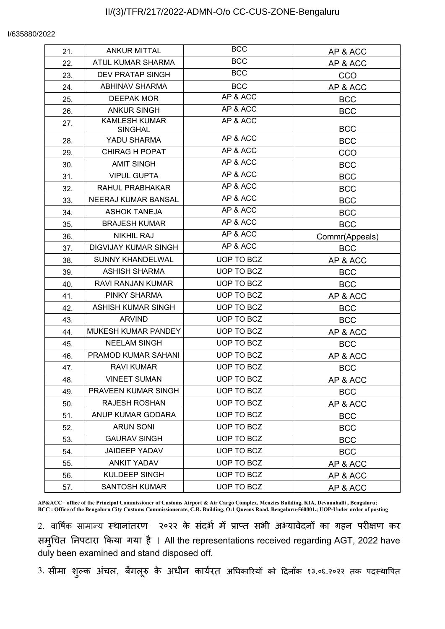## I/635880/2022

| 21. | <b>ANKUR MITTAL</b>                    | <b>BCC</b>        | AP & ACC       |
|-----|----------------------------------------|-------------------|----------------|
| 22. | ATUL KUMAR SHARMA                      | <b>BCC</b>        | AP & ACC       |
| 23. | <b>DEV PRATAP SINGH</b>                | <b>BCC</b>        | CCO            |
| 24. | <b>ABHINAV SHARMA</b>                  | <b>BCC</b>        | AP & ACC       |
| 25. | <b>DEEPAK MOR</b>                      | AP & ACC          | <b>BCC</b>     |
| 26. | <b>ANKUR SINGH</b>                     | AP & ACC          | <b>BCC</b>     |
| 27. | <b>KAMLESH KUMAR</b><br><b>SINGHAL</b> | AP & ACC          | <b>BCC</b>     |
| 28. | YADU SHARMA                            | AP & ACC          | <b>BCC</b>     |
| 29. | CHIRAG H POPAT                         | AP & ACC          | CCO            |
| 30. | <b>AMIT SINGH</b>                      | AP & ACC          | <b>BCC</b>     |
| 31. | <b>VIPUL GUPTA</b>                     | AP & ACC          | <b>BCC</b>     |
| 32. | RAHUL PRABHAKAR                        | AP & ACC          | <b>BCC</b>     |
| 33. | NEERAJ KUMAR BANSAL                    | AP & ACC          | <b>BCC</b>     |
| 34. | <b>ASHOK TANEJA</b>                    | AP & ACC          | <b>BCC</b>     |
| 35. | <b>BRAJESH KUMAR</b>                   | AP & ACC          | <b>BCC</b>     |
| 36. | <b>NIKHIL RAJ</b>                      | AP & ACC          | Commr(Appeals) |
| 37. | <b>DIGVIJAY KUMAR SINGH</b>            | AP & ACC          | <b>BCC</b>     |
| 38. | <b>SUNNY KHANDELWAL</b>                | <b>UOP TO BCZ</b> | AP & ACC       |
| 39. | <b>ASHISH SHARMA</b>                   | UOP TO BCZ        | <b>BCC</b>     |
| 40. | RAVI RANJAN KUMAR                      | UOP TO BCZ        | <b>BCC</b>     |
| 41. | PINKY SHARMA                           | UOP TO BCZ        | AP & ACC       |
| 42. | <b>ASHISH KUMAR SINGH</b>              | UOP TO BCZ        | <b>BCC</b>     |
| 43. | <b>ARVIND</b>                          | UOP TO BCZ        | <b>BCC</b>     |
| 44. | <b>MUKESH KUMAR PANDEY</b>             | UOP TO BCZ        | AP & ACC       |
| 45. | <b>NEELAM SINGH</b>                    | UOP TO BCZ        | <b>BCC</b>     |
| 46. | PRAMOD KUMAR SAHANI                    | UOP TO BCZ        | AP & ACC       |
| 47. | <b>RAVI KUMAR</b>                      | UOP TO BCZ        | <b>BCC</b>     |
| 48. | <b>VINEET SUMAN</b>                    | UOP TO BCZ        | AP & ACC       |
| 49. | PRAVEEN KUMAR SINGH                    | UOP TO BCZ        | <b>BCC</b>     |
| 50. | <b>RAJESH ROSHAN</b>                   | UOP TO BCZ        | AP & ACC       |
| 51. | ANUP KUMAR GODARA                      | UOP TO BCZ        | <b>BCC</b>     |
| 52. | <b>ARUN SONI</b>                       | UOP TO BCZ        | <b>BCC</b>     |
| 53. | <b>GAURAV SINGH</b>                    | UOP TO BCZ        | <b>BCC</b>     |
| 54. | <b>JAIDEEP YADAV</b>                   | UOP TO BCZ        | <b>BCC</b>     |
| 55. | ANKIT YADAV                            | UOP TO BCZ        | AP & ACC       |
| 56. | KULDEEP SINGH                          | UOP TO BCZ        | AP & ACC       |
| 57. | <b>SANTOSH KUMAR</b>                   | UOP TO BCZ        | AP & ACC       |
|     |                                        |                   |                |

**AP&ACC= office of the Principal Commissioner of Customs Airport & Air Cargo Complex, Menzies Building, KIA, Devanahalli , Bengaluru; BCC : Office of the Bengaluru City Customs Commissionerate, C.R. Building, O:1 Queens Road, Bengaluru-560001.; UOP-Under order of posting**

2. वार्षिक सामान्य स्थानांतरण २०२२ के संदर्भ में प्राप्त सभी अभ्यावेदनों का गहन परीक्षण कर समुचित निपटारा किया र्गया है । All the representations received regarding AGT, 2022 have duly been examined and stand disposed off.

3. सीमा शुल्क अंचल, बेंगलूरु के अधीन कार्यरत अधिकारियों को दिनाँक १३.०६.२०२२ तक पदस्थापित